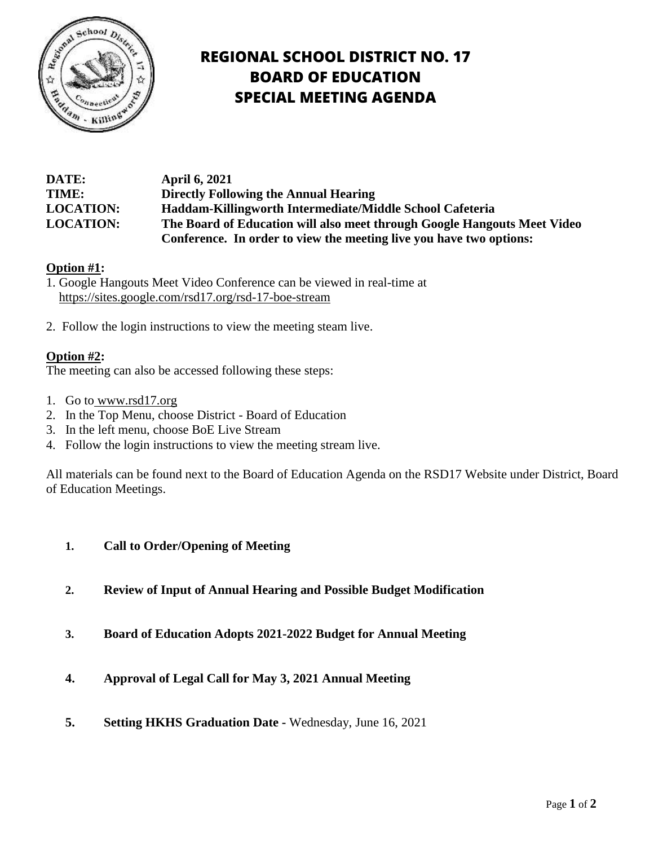

# **REGIONAL SCHOOL DISTRICT NO. 17 BOARD OF EDUCATION SPECIAL MEETING AGENDA**

| DATE:            | <b>April 6, 2021</b>                                                     |
|------------------|--------------------------------------------------------------------------|
| TIME:            | <b>Directly Following the Annual Hearing</b>                             |
| <b>LOCATION:</b> | Haddam-Killingworth Intermediate/Middle School Cafeteria                 |
| <b>LOCATION:</b> | The Board of Education will also meet through Google Hangouts Meet Video |
|                  | Conference. In order to view the meeting live you have two options:      |

## **Option #1:**

- 1. Google Hangouts Meet Video Conference can be viewed in real-time at <https://sites.google.com/rsd17.org/rsd-17-boe-stream>
- 2. Follow the login instructions to view the meeting steam live.

#### **Option #2:**

The meeting can also be accessed following these steps:

- 1. Go to [www.rsd17.org](http://www.rsd17.org/)
- 2. In the Top Menu, choose District Board of Education
- 3. In the left menu, choose BoE Live Stream
- 4. Follow the login instructions to view the meeting stream live.

All materials can be found next to the Board of Education Agenda on the RSD17 Website under District, Board of Education Meetings.

- **1. Call to Order/Opening of Meeting**
- **2. Review of Input of Annual Hearing and Possible Budget Modification**
- **3. Board of Education Adopts 2021-2022 Budget for Annual Meeting**
- **4. Approval of Legal Call for May 3, 2021 Annual Meeting**
- **5. Setting HKHS Graduation Date -** Wednesday, June 16, 2021